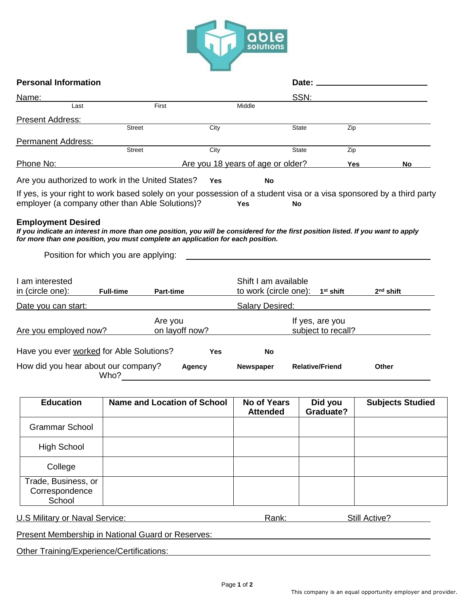

| <b>Personal Information</b>                                                                                                                                                                                                                       |                                           |            |                                       |                                             |                         |
|---------------------------------------------------------------------------------------------------------------------------------------------------------------------------------------------------------------------------------------------------|-------------------------------------------|------------|---------------------------------------|---------------------------------------------|-------------------------|
| <u>Name:</u>                                                                                                                                                                                                                                      |                                           |            |                                       | SSN:                                        |                         |
| Last                                                                                                                                                                                                                                              | First                                     |            | Middle                                |                                             |                         |
| <b>Present Address:</b>                                                                                                                                                                                                                           | <b>Street</b>                             | City       |                                       | <b>State</b>                                | Zip                     |
| <b>Permanent Address:</b>                                                                                                                                                                                                                         |                                           |            |                                       |                                             |                         |
|                                                                                                                                                                                                                                                   | <b>Street</b>                             | City       |                                       | <b>State</b>                                | Zip                     |
| Phone No:                                                                                                                                                                                                                                         |                                           |            | Are you 18 years of age or older?     |                                             | Yes<br>No               |
| Are you authorized to work in the United States?                                                                                                                                                                                                  |                                           | <b>Yes</b> | <b>No</b>                             |                                             |                         |
| If yes, is your right to work based solely on your possession of a student visa or a visa sponsored by a third party                                                                                                                              |                                           |            |                                       |                                             |                         |
| employer (a company other than Able Solutions)?                                                                                                                                                                                                   |                                           |            | <b>Yes</b>                            | <b>No</b>                                   |                         |
| <b>Employment Desired</b><br>If you indicate an interest in more than one position, you will be considered for the first position listed. If you want to apply<br>for more than one position, you must complete an application for each position. | Position for which you are applying:      |            |                                       |                                             |                         |
| I am interested<br>in (circle one):                                                                                                                                                                                                               | <b>Full-time</b><br><b>Part-time</b>      |            | Shift I am available                  | to work (circle one): 1 <sup>st</sup> shift | $2nd$ shift             |
| <u>Date you can start:</u>                                                                                                                                                                                                                        |                                           |            | <b>Salary Desired:</b>                |                                             |                         |
|                                                                                                                                                                                                                                                   | Are you                                   |            |                                       | If yes, are you                             |                         |
| Are you employed now?                                                                                                                                                                                                                             | on layoff now?                            |            | subject to recall?                    |                                             |                         |
| Have you ever worked for Able Solutions?                                                                                                                                                                                                          |                                           | Yes        | No                                    |                                             |                         |
| How did you hear about our company?                                                                                                                                                                                                               | Who?                                      | Agency     | Newspaper                             | <b>Relative/Friend</b>                      | <b>Other</b>            |
| <b>Education</b>                                                                                                                                                                                                                                  | <b>Name and Location of School</b>        |            | <b>No of Years</b><br><b>Attended</b> | Did you<br>Graduate?                        | <b>Subjects Studied</b> |
| <b>Grammar School</b>                                                                                                                                                                                                                             |                                           |            |                                       |                                             |                         |
| <b>High School</b>                                                                                                                                                                                                                                |                                           |            |                                       |                                             |                         |
| College                                                                                                                                                                                                                                           |                                           |            |                                       |                                             |                         |
| Trade, Business, or<br>Correspondence<br>School                                                                                                                                                                                                   |                                           |            |                                       |                                             |                         |
| <b>U.S Military or Naval Service:</b>                                                                                                                                                                                                             |                                           |            | Rank:                                 |                                             | Still Active?           |
| <b>Present Membership in National Guard or Reserves:</b>                                                                                                                                                                                          |                                           |            |                                       |                                             |                         |
|                                                                                                                                                                                                                                                   | Other Training/Experience/Certifications: |            |                                       |                                             |                         |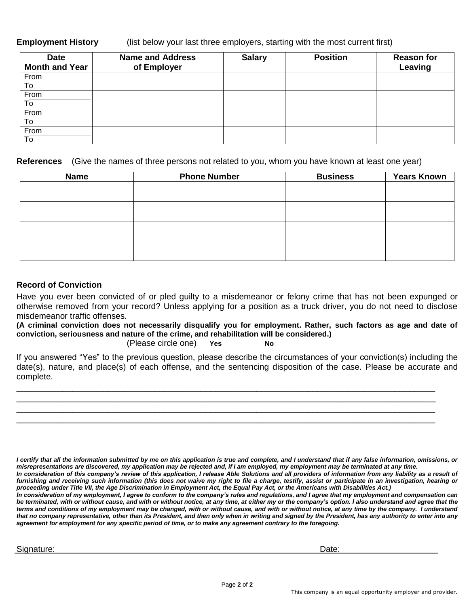**Employment History** (list below your last three employers, starting with the most current first)

| <b>Date</b>           | <b>Name and Address</b> | <b>Salary</b> | <b>Position</b> | <b>Reason for</b> |
|-----------------------|-------------------------|---------------|-----------------|-------------------|
| <b>Month and Year</b> | of Employer             |               |                 | Leaving           |
| From                  |                         |               |                 |                   |
| To                    |                         |               |                 |                   |
| From                  |                         |               |                 |                   |
| To                    |                         |               |                 |                   |
| From                  |                         |               |                 |                   |
| To                    |                         |               |                 |                   |
| From                  |                         |               |                 |                   |
| To                    |                         |               |                 |                   |

**References** (Give the names of three persons not related to you, whom you have known at least one year)

| <b>Name</b> | <b>Phone Number</b> | <b>Business</b> | <b>Years Known</b> |
|-------------|---------------------|-----------------|--------------------|
|             |                     |                 |                    |
|             |                     |                 |                    |
|             |                     |                 |                    |
|             |                     |                 |                    |
|             |                     |                 |                    |
|             |                     |                 |                    |
|             |                     |                 |                    |
|             |                     |                 |                    |

# **Record of Conviction**

Have you ever been convicted of or pled guilty to a misdemeanor or felony crime that has not been expunged or otherwise removed from your record? Unless applying for a position as a truck driver, you do not need to disclose misdemeanor traffic offenses.

**(A criminal conviction does not necessarily disqualify you for employment. Rather, such factors as age and date of conviction, seriousness and nature of the crime, and rehabilitation will be considered.)**

(Please circle one) **Yes No**

If you answered "Yes" to the previous question, please describe the circumstances of your conviction(s) including the date(s), nature, and place(s) of each offense, and the sentencing disposition of the case. Please be accurate and complete.

\_\_\_\_\_\_\_\_\_\_\_\_\_\_\_\_\_\_\_\_\_\_\_\_\_\_\_\_\_\_\_\_\_\_\_\_\_\_\_\_\_\_\_\_\_\_\_\_\_\_\_\_\_\_\_\_\_\_\_\_\_\_\_\_\_\_\_\_\_\_\_\_\_\_\_\_\_\_\_\_\_\_ \_\_\_\_\_\_\_\_\_\_\_\_\_\_\_\_\_\_\_\_\_\_\_\_\_\_\_\_\_\_\_\_\_\_\_\_\_\_\_\_\_\_\_\_\_\_\_\_\_\_\_\_\_\_\_\_\_\_\_\_\_\_\_\_\_\_\_\_\_\_\_\_\_\_\_\_\_\_\_\_\_\_ \_\_\_\_\_\_\_\_\_\_\_\_\_\_\_\_\_\_\_\_\_\_\_\_\_\_\_\_\_\_\_\_\_\_\_\_\_\_\_\_\_\_\_\_\_\_\_\_\_\_\_\_\_\_\_\_\_\_\_\_\_\_\_\_\_\_\_\_\_\_\_\_\_\_\_\_\_\_\_\_\_\_ \_\_\_\_\_\_\_\_\_\_\_\_\_\_\_\_\_\_\_\_\_\_\_\_\_\_\_\_\_\_\_\_\_\_\_\_\_\_\_\_\_\_\_\_\_\_\_\_\_\_\_\_\_\_\_\_\_\_\_\_\_\_\_\_\_\_\_\_\_\_\_\_\_\_\_\_\_\_\_\_\_\_

*I certify that all the information submitted by me on this application is true and complete, and I understand that if any false information, omissions, or misrepresentations are discovered, my application may be rejected and, if I am employed, my employment may be terminated at any time. In consideration of this company's review of this application, I release Able Solutions and all providers of information from any liability as a result of*  furnishing and receiving such information (this does not waive my right to file a charge, testify, assist or participate in an investigation, hearing or *proceeding under Title VII, the Age Discrimination in Employment Act, the Equal Pay Act, or the Americans with Disabilities Act.) In consideration of my employment, I agree to conform to the company's rules and regulations, and I agree that my employment and compensation can*  be terminated, with or without cause, and with or without notice, at any time, at either my or the company's option. I also understand and agree that the *terms and conditions of my employment may be changed, with or without cause, and with or without notice, at any time by the company. I understand*  that no company representative, other than its President, and then only when in writing and signed by the President, has any authority to enter into any *agreement for employment for any specific period of time, or to make any agreement contrary to the foregoing.*

Signature: Date: Department of the Signature: Date: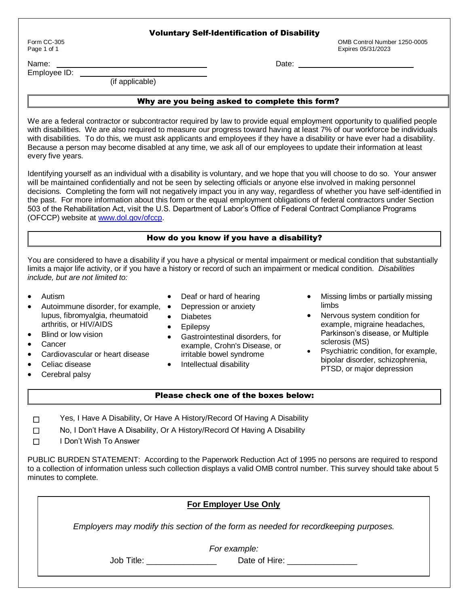### Voluntary Self-Identification of Disability

Form CC-305 OMB Control Number 1250-0005 Page 1 of 1 Expires 05/31/2023

Name: Date: Employee ID:

(if applicable)

# Why are you being asked to complete this form?

We are a federal contractor or subcontractor required by law to provide equal employment opportunity to qualified people with disabilities. We are also required to measure our progress toward having at least 7% of our workforce be individuals with disabilities. To do this, we must ask applicants and employees if they have a disability or have ever had a disability. Because a person may become disabled at any time, we ask all of our employees to update their information at least every five years.

Identifying yourself as an individual with a disability is voluntary, and we hope that you will choose to do so. Your answer will be maintained confidentially and not be seen by selecting officials or anyone else involved in making personnel decisions. Completing the form will not negatively impact you in any way, regardless of whether you have self-identified in the past. For more information about this form or the equal employment obligations of federal contractors under Section 503 of the Rehabilitation Act, visit the U.S. Department of Labor's Office of Federal Contract Compliance Programs (OFCCP) website at [www.dol.gov/ofccp.](https://www.dol.gov/agencies/ofccp)

## How do you know if you have a disability?

You are considered to have a disability if you have a physical or mental impairment or medical condition that substantially limits a major life activity, or if you have a history or record of such an impairment or medical condition. *Disabilities include, but are not limited to:*

• Deaf or hard of hearing

- **•** Autism
- Autoimmune disorder, for example, lupus, fibromyalgia, rheumatoid arthritis, or HIV/AIDS • Depression or anxiety Diabetes
- Blind or low vision
- **Cancer**
- Cardiovascular or heart disease
- Celiac disease
- Intellectual disability

• Epilepsy

Cerebral palsy

Please check one of the boxes below:

 Gastrointestinal disorders, for example, Crohn's Disease, or irritable bowel syndrome

- Missing limbs or partially missing limbs
- Nervous system condition for example, migraine headaches, Parkinson's disease, or Multiple sclerosis (MS)
- Psychiatric condition, for example, bipolar disorder, schizophrenia, PTSD, or major depression
- ☐ Yes, I Have A Disability, Or Have A History/Record Of Having A Disability
- ☐ No, I Don't Have A Disability, Or A History/Record Of Having A Disability
- ☐ I Don't Wish To Answer

PUBLIC BURDEN STATEMENT: According to the Paperwork Reduction Act of 1995 no persons are required to respond to a collection of information unless such collection displays a valid OMB control number. This survey should take about 5 minutes to complete.

|            | <b>For Employer Use Only</b>                                                         |
|------------|--------------------------------------------------------------------------------------|
|            | Employers may modify this section of the form as needed for record keeping purposes. |
|            | For example:                                                                         |
| Job Title: | Date of Hire: New York 1996                                                          |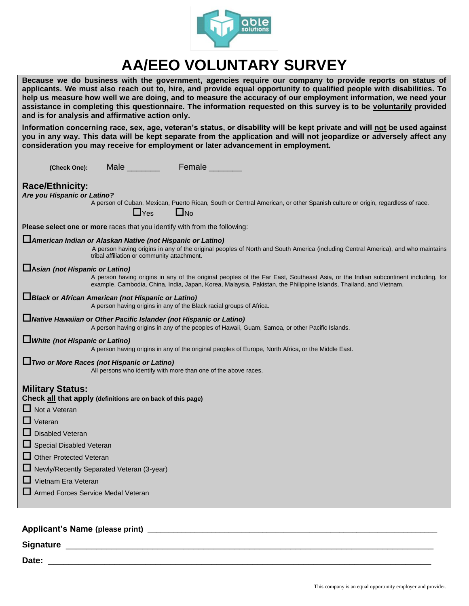

# **AA/EEO VOLUNTARY SURVEY**

| Because we do business with the government, agencies require our company to provide reports on status of<br>applicants. We must also reach out to, hire, and provide equal opportunity to qualified people with disabilities. To<br>help us measure how well we are doing, and to measure the accuracy of our employment information, we need your<br>assistance in completing this questionnaire. The information requested on this survey is to be voluntarily provided<br>and is for analysis and affirmative action only. |
|-------------------------------------------------------------------------------------------------------------------------------------------------------------------------------------------------------------------------------------------------------------------------------------------------------------------------------------------------------------------------------------------------------------------------------------------------------------------------------------------------------------------------------|
| Information concerning race, sex, age, veteran's status, or disability will be kept private and will not be used against<br>you in any way. This data will be kept separate from the application and will not jeopardize or adversely affect any<br>consideration you may receive for employment or later advancement in employment.                                                                                                                                                                                          |
| Male Female<br>(Check One):                                                                                                                                                                                                                                                                                                                                                                                                                                                                                                   |
| <b>Race/Ethnicity:</b><br>Are you Hispanic or Latino?<br>A person of Cuban, Mexican, Puerto Rican, South or Central American, or other Spanish culture or origin, regardless of race.                                                                                                                                                                                                                                                                                                                                         |
| $\Box$ No<br>$\Box$ Yes                                                                                                                                                                                                                                                                                                                                                                                                                                                                                                       |
| Please select one or more races that you identify with from the following:                                                                                                                                                                                                                                                                                                                                                                                                                                                    |
| LAmerican Indian or Alaskan Native (not Hispanic or Latino)<br>A person having origins in any of the original peoples of North and South America (including Central America), and who maintains<br>tribal affiliation or community attachment.                                                                                                                                                                                                                                                                                |
| Asian (not Hispanic or Latino)<br>A person having origins in any of the original peoples of the Far East, Southeast Asia, or the Indian subcontinent including, for<br>example, Cambodia, China, India, Japan, Korea, Malaysia, Pakistan, the Philippine Islands, Thailand, and Vietnam.                                                                                                                                                                                                                                      |
| Black or African American (not Hispanic or Latino)<br>A person having origins in any of the Black racial groups of Africa.                                                                                                                                                                                                                                                                                                                                                                                                    |
| Native Hawaiian or Other Pacific Islander (not Hispanic or Latino)<br>A person having origins in any of the peoples of Hawaii, Guam, Samoa, or other Pacific Islands.                                                                                                                                                                                                                                                                                                                                                         |
| $\Box$ White (not Hispanic or Latino)<br>A person having origins in any of the original peoples of Europe, North Africa, or the Middle East.                                                                                                                                                                                                                                                                                                                                                                                  |
| $\Box$ Two or More Races (not Hispanic or Latino)<br>All persons who identify with more than one of the above races.                                                                                                                                                                                                                                                                                                                                                                                                          |
| <b>Military Status:</b><br>Check all that apply (definitions are on back of this page)<br>$\Box$ Not a Veteran<br>$\Box$ Veteran                                                                                                                                                                                                                                                                                                                                                                                              |
| ப<br><b>Disabled Veteran</b>                                                                                                                                                                                                                                                                                                                                                                                                                                                                                                  |
| ப<br>Special Disabled Veteran                                                                                                                                                                                                                                                                                                                                                                                                                                                                                                 |
| <b>Other Protected Veteran</b><br>ப                                                                                                                                                                                                                                                                                                                                                                                                                                                                                           |
| Newly/Recently Separated Veteran (3-year)                                                                                                                                                                                                                                                                                                                                                                                                                                                                                     |
| Vietnam Era Veteran                                                                                                                                                                                                                                                                                                                                                                                                                                                                                                           |
| Armed Forces Service Medal Veteran                                                                                                                                                                                                                                                                                                                                                                                                                                                                                            |
|                                                                                                                                                                                                                                                                                                                                                                                                                                                                                                                               |

# **Applicant's Name (please print) \_\_\_\_\_\_\_\_\_\_\_\_\_\_\_\_\_\_\_\_\_\_\_\_\_\_\_\_\_\_\_\_\_\_\_\_\_\_\_\_\_\_\_\_\_\_\_\_\_\_\_\_\_\_\_\_\_\_\_\_\_\_\_\_\_\_\_\_**

**Signature** \_\_\_\_\_\_\_\_\_\_\_\_\_\_\_\_\_\_\_\_\_\_\_\_\_\_\_\_\_\_\_\_\_\_\_\_\_\_\_\_\_\_\_\_\_\_\_\_\_\_\_\_\_\_\_\_\_\_\_\_\_\_\_\_\_\_\_\_\_\_\_\_

**Date:** \_\_\_\_\_\_\_\_\_\_\_\_\_\_\_\_\_\_\_\_\_\_\_\_\_\_\_\_\_\_\_\_\_\_\_\_\_\_\_\_\_\_\_\_\_\_\_\_\_\_\_\_\_\_\_\_\_\_\_\_\_\_\_\_\_\_\_\_\_\_\_\_\_\_\_